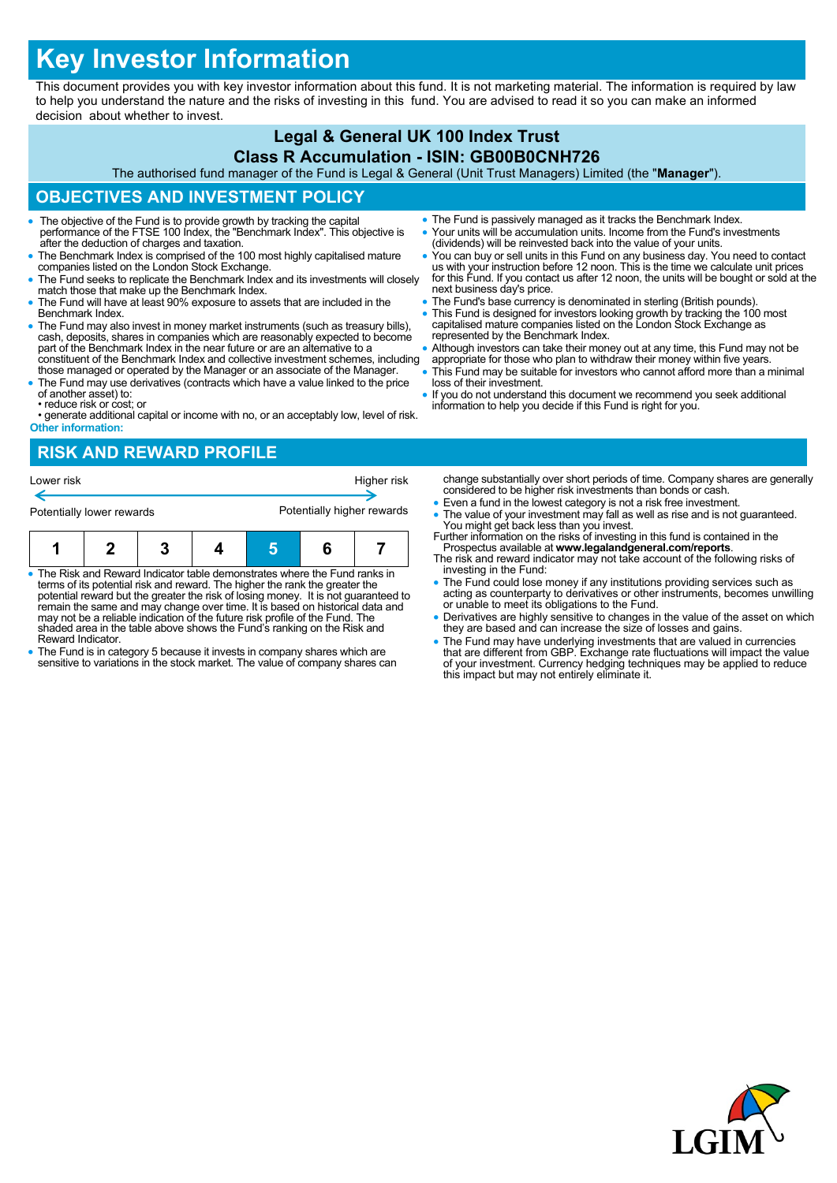# **Key Investor Information**

This document provides you with key investor information about this fund. It is not marketing material. The information is required by law to help you understand the nature and the risks of investing in this fund. You are advised to read it so you can make an informed decision about whether to invest.

#### **Legal & General UK 100 Index Trust Class R Accumulation - ISIN: GB00B0CNH726**

The authorised fund manager of the Fund is Legal & General (Unit Trust Managers) Limited (the "**Manager**").

## **OBJECTIVES AND INVESTMENT POLICY**

- The objective of the Fund is to provide growth by tracking the capital performance of the FTSE 100 Index, the "Benchmark Index". This objective is after the deduction of charges and taxation.
- The Benchmark Index is comprised of the 100 most highly capitalised mature companies listed on the London Stock Exchange.
- The Fund seeks to replicate the Benchmark Index and its investments will closely match those that make up the Benchmark Index.
- The Fund will have at least 90% exposure to assets that are included in the Benchmark Index.
- The Fund may also invest in money market instruments (such as treasury bills), cash, deposits, shares in companies which are reasonably expected to become part of the Benchmark Index in the near future or are an alternative to a constituent of the Benchmark Index and collective investment schemes, including
- those managed or operated by the Manager or an associate of the Manager. The Fund may use derivatives (contracts which have a value linked to the price
- of another asset) to: • reduce risk or cost; or
- generate additional capital or income with no, or an acceptably low, level of risk. **Other information:**

## **RISK AND REWARD PROFILE**

| Lower risk                |  |  |  |                            | change s<br>Higher risk<br>considere |  |                                                        |
|---------------------------|--|--|--|----------------------------|--------------------------------------|--|--------------------------------------------------------|
| Potentially lower rewards |  |  |  | Potentially higher rewards |                                      |  | $\bullet$ Even a fu<br>$\bullet$ The value<br>You migh |
|                           |  |  |  |                            |                                      |  | Further info<br><b>Drocpoot</b>                        |

|  | • The Risk and Reward Indicator table demonstrates where the Fund ranks in<br>terms of its potential risk and reward. The higher the rank the greater the<br>potential reward but the greater the rigk of leging meaney. It is not guaranteed to |  |  |
|--|--------------------------------------------------------------------------------------------------------------------------------------------------------------------------------------------------------------------------------------------------|--|--|

- potential reward but the greater the risk of losing money. It is not guaranteed to remain the same and may change over time. It is based on historical data and may not be a reliable indication of the future risk profile of the Fund. The shaded area in the table above shows the Fund's ranking on the Risk and Reward Indicator.
- The Fund is in category 5 because it invests in company shares which are sensitive to variations in the stock market. The value of company shares can
- The Fund is passively managed as it tracks the Benchmark Index. Your units will be accumulation units. Income from the Fund's investments
- (dividends) will be reinvested back into the value of your units. You can buy or sell units in this Fund on any business day. You need to contact
- us with your instruction before 12 noon. This is the time we calculate unit prices for this Fund. If you contact us after 12 noon, the units will be bought or sold at the next business day's price.
- The Fund's base currency is denominated in sterling (British pounds). This Fund is designed for investors looking growth by tracking the 100 most capitalised mature companies listed on the London Stock Exchange as represented by the Benchmark Index.
- Although investors can take their money out at any time, this Fund may not be
- appropriate for those who plan to withdraw their money within five years.
- This Fund may be suitable for investors who cannot afford more than a minimal loss of their investment.
- If you do not understand this document we recommend you seek additional information to help you decide if this Fund is right for you.

substantially over short periods of time. Company shares are generally ed to be higher risk investments than bonds or cash.

- und in the lowest category is not a risk free investment.
- e of your investment may fall as well as rise and is not guaranteed. You might get back less than you invest. Further information on the risks of investing in this fund is contained in the
- Prospectus available at **www.legalandgeneral.com/reports**. The risk and reward indicator may not take account of the following risks of investing in the Fund:
- The Fund could lose money if any institutions providing services such as acting as counterparty to derivatives or other instruments, becomes unwilling or unable to meet its obligations to the Fund.
- Derivatives are highly sensitive to changes in the value of the asset on which they are based and can increase the size of losses and gains.
- The Fund may have underlying investments that are valued in currencies<br>that are different from GBP. Exchange rate fluctuations will impact the value<br>of your investment. Currency hedging techniques may be applied to reduc